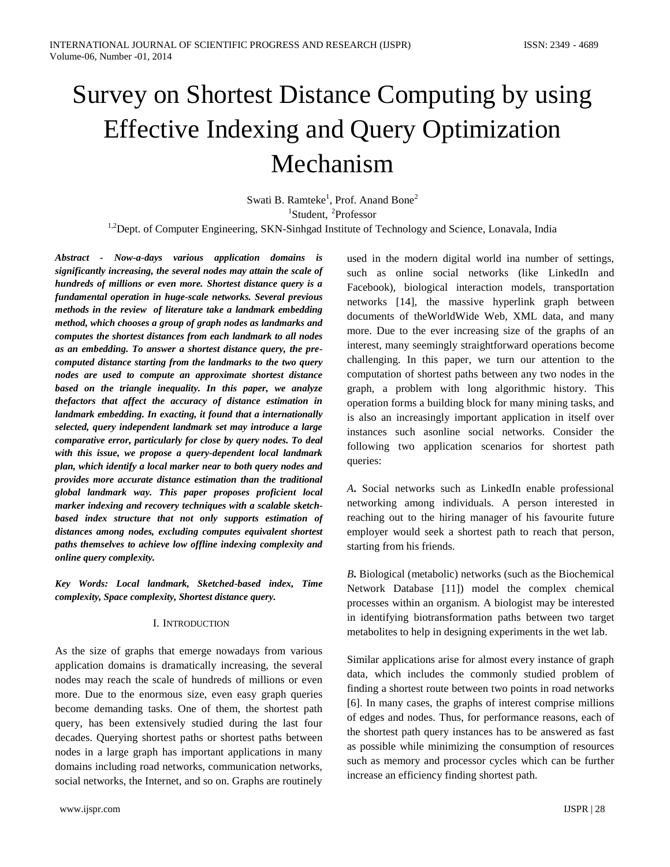# Survey on Shortest Distance Computing by using Effective Indexing and Query Optimization Mechanism

Swati B. Ramteke<sup>1</sup>, Prof. Anand Bone<sup>2</sup> <sup>1</sup>Student, <sup>2</sup>Professor

<sup>1,2</sup>Dept. of Computer Engineering, SKN-Sinhgad Institute of Technology and Science, Lonavala, India

*Abstract - Now-a-days various application domains is significantly increasing, the several nodes may attain the scale of hundreds of millions or even more. Shortest distance query is a fundamental operation in huge-scale networks. Several previous methods in the review of literature take a landmark embedding method, which chooses a group of graph nodes as landmarks and computes the shortest distances from each landmark to all nodes as an embedding. To answer a shortest distance query, the precomputed distance starting from the landmarks to the two query nodes are used to compute an approximate shortest distance based on the triangle inequality. In this paper, we analyze thefactors that affect the accuracy of distance estimation in landmark embedding. In exacting, it found that a internationally selected, query independent landmark set may introduce a large comparative error, particularly for close by query nodes. To deal with this issue, we propose a query-dependent local landmark plan, which identify a local marker near to both query nodes and provides more accurate distance estimation than the traditional global landmark way. This paper proposes proficient local marker indexing and recovery techniques with a scalable sketchbased index structure that not only supports estimation of distances among nodes, excluding computes equivalent shortest paths themselves to achieve low offline indexing complexity and online query complexity.*

*Key Words: Local landmark, Sketched-based index, Time complexity, Space complexity, Shortest distance query.*

#### I. INTRODUCTION

As the size of graphs that emerge nowadays from various application domains is dramatically increasing, the several nodes may reach the scale of hundreds of millions or even more. Due to the enormous size, even easy graph queries become demanding tasks. One of them, the shortest path query, has been extensively studied during the last four decades. Querying shortest paths or shortest paths between nodes in a large graph has important applications in many domains including road networks, communication networks, social networks, the Internet, and so on. Graphs are routinely

used in the modern digital world ina number of settings, such as online social networks (like LinkedIn and Facebook), biological interaction models, transportation networks [14], the massive hyperlink graph between documents of theWorldWide Web, XML data, and many more. Due to the ever increasing size of the graphs of an interest, many seemingly straightforward operations become challenging. In this paper, we turn our attention to the computation of shortest paths between any two nodes in the graph, a problem with long algorithmic history. This operation forms a building block for many mining tasks, and is also an increasingly important application in itself over instances such asonline social networks. Consider the following two application scenarios for shortest path queries:

*A***.** Social networks such as LinkedIn enable professional networking among individuals. A person interested in reaching out to the hiring manager of his favourite future employer would seek a shortest path to reach that person, starting from his friends.

*B***.** Biological (metabolic) networks (such as the Biochemical Network Database [11]) model the complex chemical processes within an organism. A biologist may be interested in identifying biotransformation paths between two target metabolites to help in designing experiments in the wet lab.

Similar applications arise for almost every instance of graph data, which includes the commonly studied problem of finding a shortest route between two points in road networks [6]. In many cases, the graphs of interest comprise millions of edges and nodes. Thus, for performance reasons, each of the shortest path query instances has to be answered as fast as possible while minimizing the consumption of resources such as memory and processor cycles which can be further increase an efficiency finding shortest path.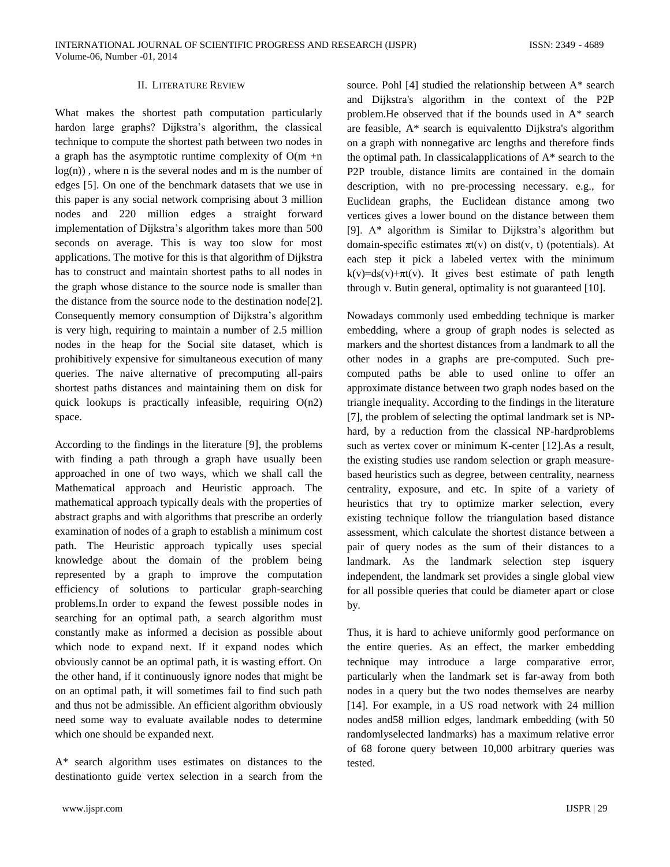### II. LITERATURE REVIEW

What makes the shortest path computation particularly hardon large graphs? Dijkstra's algorithm, the classical technique to compute the shortest path between two nodes in a graph has the asymptotic runtime complexity of  $O(m + n)$  $log(n)$ , where n is the several nodes and m is the number of edges [5]. On one of the benchmark datasets that we use in this paper is any social network comprising about 3 million nodes and 220 million edges a straight forward implementation of Dijkstra's algorithm takes more than 500 seconds on average. This is way too slow for most applications. The motive for this is that algorithm of Dijkstra has to construct and maintain shortest paths to all nodes in the graph whose distance to the source node is smaller than the distance from the source node to the destination node[2]. Consequently memory consumption of Dijkstra's algorithm is very high, requiring to maintain a number of 2.5 million nodes in the heap for the Social site dataset, which is prohibitively expensive for simultaneous execution of many queries. The naive alternative of precomputing all-pairs shortest paths distances and maintaining them on disk for quick lookups is practically infeasible, requiring  $O(n2)$ space.

According to the findings in the literature [9], the problems with finding a path through a graph have usually been approached in one of two ways, which we shall call the Mathematical approach and Heuristic approach. The mathematical approach typically deals with the properties of abstract graphs and with algorithms that prescribe an orderly examination of nodes of a graph to establish a minimum cost path. The Heuristic approach typically uses special knowledge about the domain of the problem being represented by a graph to improve the computation efficiency of solutions to particular graph-searching problems.In order to expand the fewest possible nodes in searching for an optimal path, a search algorithm must constantly make as informed a decision as possible about which node to expand next. If it expand nodes which obviously cannot be an optimal path, it is wasting effort. On the other hand, if it continuously ignore nodes that might be on an optimal path, it will sometimes fail to find such path and thus not be admissible. An efficient algorithm obviously need some way to evaluate available nodes to determine which one should be expanded next.

A\* search algorithm uses estimates on distances to the destinationto guide vertex selection in a search from the source. Pohl [4] studied the relationship between A\* search and Dijkstra's algorithm in the context of the P2P problem.He observed that if the bounds used in A\* search are feasible, A\* search is equivalentto Dijkstra's algorithm on a graph with nonnegative arc lengths and therefore finds the optimal path. In classicalapplications of A\* search to the P2P trouble, distance limits are contained in the domain description, with no pre-processing necessary. e.g., for Euclidean graphs, the Euclidean distance among two vertices gives a lower bound on the distance between them [9]. A\* algorithm is Similar to Dijkstra's algorithm but domain-specific estimates  $\pi t(v)$  on dist(v, t) (potentials). At each step it pick a labeled vertex with the minimum  $k(v)=ds(v)+\pi t(v)$ . It gives best estimate of path length through v. Butin general, optimality is not guaranteed [10].

Nowadays commonly used embedding technique is marker embedding, where a group of graph nodes is selected as markers and the shortest distances from a landmark to all the other nodes in a graphs are pre-computed. Such precomputed paths be able to used online to offer an approximate distance between two graph nodes based on the triangle inequality. According to the findings in the literature [7], the problem of selecting the optimal landmark set is NPhard, by a reduction from the classical NP-hardproblems such as vertex cover or minimum K-center [12].As a result, the existing studies use random selection or graph measurebased heuristics such as degree, between centrality, nearness centrality, exposure, and etc. In spite of a variety of heuristics that try to optimize marker selection, every existing technique follow the triangulation based distance assessment, which calculate the shortest distance between a pair of query nodes as the sum of their distances to a landmark. As the landmark selection step isquery independent, the landmark set provides a single global view for all possible queries that could be diameter apart or close by.

Thus, it is hard to achieve uniformly good performance on the entire queries. As an effect, the marker embedding technique may introduce a large comparative error, particularly when the landmark set is far-away from both nodes in a query but the two nodes themselves are nearby [14]. For example, in a US road network with 24 million nodes and58 million edges, landmark embedding (with 50 randomlyselected landmarks) has a maximum relative error of 68 forone query between 10,000 arbitrary queries was tested.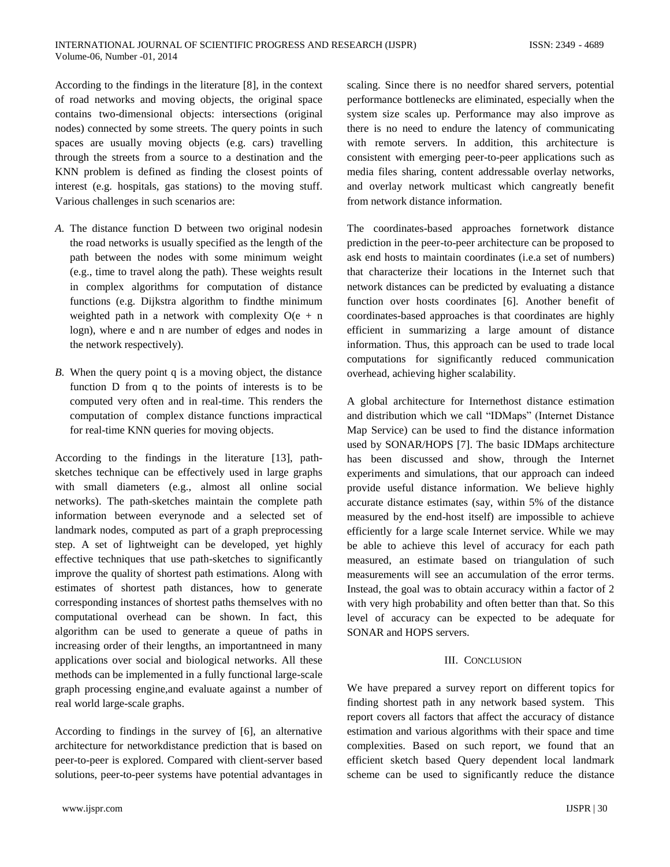According to the findings in the literature [8], in the context of road networks and moving objects, the original space contains two-dimensional objects: intersections (original nodes) connected by some streets. The query points in such spaces are usually moving objects (e.g. cars) travelling through the streets from a source to a destination and the KNN problem is defined as finding the closest points of interest (e.g. hospitals, gas stations) to the moving stuff. Various challenges in such scenarios are:

- *A.* The distance function D between two original nodesin the road networks is usually specified as the length of the path between the nodes with some minimum weight (e.g., time to travel along the path). These weights result in complex algorithms for computation of distance functions (e.g. Dijkstra algorithm to findthe minimum weighted path in a network with complexity  $O(e + n$ logn), where e and n are number of edges and nodes in the network respectively).
- *B.* When the query point q is a moving object, the distance function D from q to the points of interests is to be computed very often and in real-time. This renders the computation of complex distance functions impractical for real-time KNN queries for moving objects.

According to the findings in the literature [13], pathsketches technique can be effectively used in large graphs with small diameters (e.g., almost all online social networks). The path-sketches maintain the complete path information between everynode and a selected set of landmark nodes, computed as part of a graph preprocessing step. A set of lightweight can be developed, yet highly effective techniques that use path-sketches to significantly improve the quality of shortest path estimations. Along with estimates of shortest path distances, how to generate corresponding instances of shortest paths themselves with no computational overhead can be shown. In fact, this algorithm can be used to generate a queue of paths in increasing order of their lengths, an importantneed in many applications over social and biological networks. All these methods can be implemented in a fully functional large-scale graph processing engine,and evaluate against a number of real world large-scale graphs.

According to findings in the survey of [6], an alternative architecture for networkdistance prediction that is based on peer-to-peer is explored. Compared with client-server based solutions, peer-to-peer systems have potential advantages in scaling. Since there is no needfor shared servers, potential performance bottlenecks are eliminated, especially when the system size scales up. Performance may also improve as there is no need to endure the latency of communicating with remote servers. In addition, this architecture is consistent with emerging peer-to-peer applications such as media files sharing, content addressable overlay networks, and overlay network multicast which cangreatly benefit from network distance information.

The coordinates-based approaches fornetwork distance prediction in the peer-to-peer architecture can be proposed to ask end hosts to maintain coordinates (i.e.a set of numbers) that characterize their locations in the Internet such that network distances can be predicted by evaluating a distance function over hosts coordinates [6]. Another benefit of coordinates-based approaches is that coordinates are highly efficient in summarizing a large amount of distance information. Thus, this approach can be used to trade local computations for significantly reduced communication overhead, achieving higher scalability.

A global architecture for Internethost distance estimation and distribution which we call "IDMaps" (Internet Distance Map Service) can be used to find the distance information used by SONAR/HOPS [7]. The basic IDMaps architecture has been discussed and show, through the Internet experiments and simulations, that our approach can indeed provide useful distance information. We believe highly accurate distance estimates (say, within 5% of the distance measured by the end-host itself) are impossible to achieve efficiently for a large scale Internet service. While we may be able to achieve this level of accuracy for each path measured, an estimate based on triangulation of such measurements will see an accumulation of the error terms. Instead, the goal was to obtain accuracy within a factor of 2 with very high probability and often better than that. So this level of accuracy can be expected to be adequate for SONAR and HOPS servers.

## III. CONCLUSION

We have prepared a survey report on different topics for finding shortest path in any network based system. This report covers all factors that affect the accuracy of distance estimation and various algorithms with their space and time complexities. Based on such report, we found that an efficient sketch based Query dependent local landmark scheme can be used to significantly reduce the distance